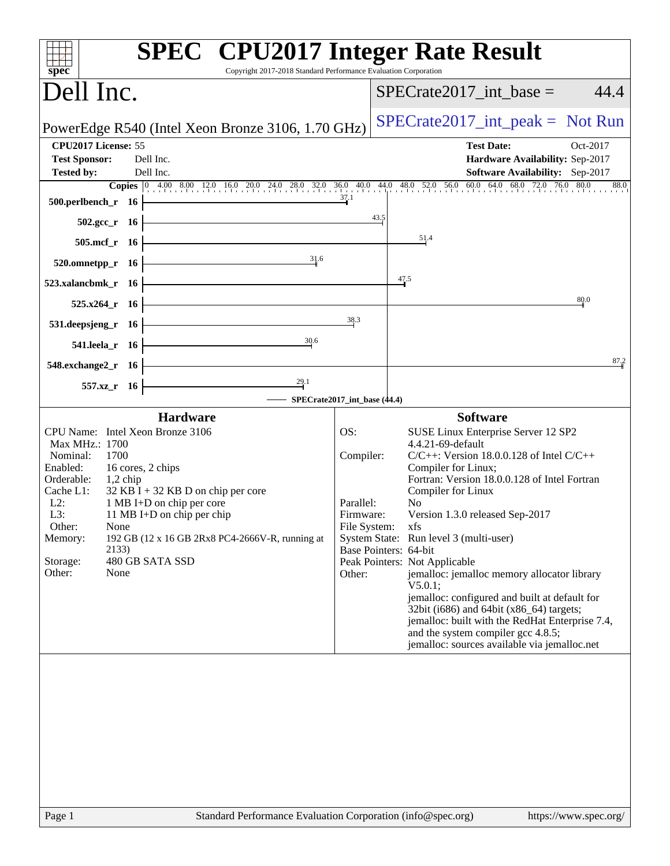| $spec^*$                                                                                                                                                                                                                                                                                                                                                                                                              | <b>SPEC<sup>®</sup></b> CPU2017 Integer Rate Result<br>Copyright 2017-2018 Standard Performance Evaluation Corporation                                                                                                                                                                                                                                                                                                                                                                                                                                                                                                                                                                                                                                |
|-----------------------------------------------------------------------------------------------------------------------------------------------------------------------------------------------------------------------------------------------------------------------------------------------------------------------------------------------------------------------------------------------------------------------|-------------------------------------------------------------------------------------------------------------------------------------------------------------------------------------------------------------------------------------------------------------------------------------------------------------------------------------------------------------------------------------------------------------------------------------------------------------------------------------------------------------------------------------------------------------------------------------------------------------------------------------------------------------------------------------------------------------------------------------------------------|
| Dell Inc.                                                                                                                                                                                                                                                                                                                                                                                                             | $SPECrate2017\_int\_base =$<br>44.4                                                                                                                                                                                                                                                                                                                                                                                                                                                                                                                                                                                                                                                                                                                   |
| PowerEdge R540 (Intel Xeon Bronze 3106, 1.70 GHz)                                                                                                                                                                                                                                                                                                                                                                     | $SPECrate2017\_int\_peak = Not Run$                                                                                                                                                                                                                                                                                                                                                                                                                                                                                                                                                                                                                                                                                                                   |
| CPU2017 License: 55<br><b>Test Sponsor:</b><br>Dell Inc.                                                                                                                                                                                                                                                                                                                                                              | <b>Test Date:</b><br>Oct-2017<br>Hardware Availability: Sep-2017                                                                                                                                                                                                                                                                                                                                                                                                                                                                                                                                                                                                                                                                                      |
| Dell Inc.<br><b>Tested by:</b>                                                                                                                                                                                                                                                                                                                                                                                        | Software Availability: Sep-2017                                                                                                                                                                                                                                                                                                                                                                                                                                                                                                                                                                                                                                                                                                                       |
| 37.1<br>$500.$ perlbench_r 16                                                                                                                                                                                                                                                                                                                                                                                         | <b>Copies</b> $\begin{bmatrix} 0 & 4.00 & 8.00 & 12.0 & 16.0 & 20.0 & 24.0 & 28.0 & 32.0 & 36.0 & 40.0 & 44.0 & 48.0 & 52.0 & 56.0 & 60.0 & 64.0 & 68.0 & 72.0 & 76.0 & 80.0 \end{bmatrix}$<br>88.0                                                                                                                                                                                                                                                                                                                                                                                                                                                                                                                                                   |
| $502.\text{sec}_r$ 16                                                                                                                                                                                                                                                                                                                                                                                                 | 43.5                                                                                                                                                                                                                                                                                                                                                                                                                                                                                                                                                                                                                                                                                                                                                  |
| <u> 1989 - Johann Barn, fransk politik fotograf (</u><br>$505.\text{mcf}_r$ 16                                                                                                                                                                                                                                                                                                                                        | 51.4                                                                                                                                                                                                                                                                                                                                                                                                                                                                                                                                                                                                                                                                                                                                                  |
| 31.6<br>$520.0$ mnetpp_r 16                                                                                                                                                                                                                                                                                                                                                                                           |                                                                                                                                                                                                                                                                                                                                                                                                                                                                                                                                                                                                                                                                                                                                                       |
| 523.xalancbmk_r $16$                                                                                                                                                                                                                                                                                                                                                                                                  | 47.5                                                                                                                                                                                                                                                                                                                                                                                                                                                                                                                                                                                                                                                                                                                                                  |
| $525.x264$ r 16                                                                                                                                                                                                                                                                                                                                                                                                       | 80.0                                                                                                                                                                                                                                                                                                                                                                                                                                                                                                                                                                                                                                                                                                                                                  |
| $531.$ deepsjeng_r 16                                                                                                                                                                                                                                                                                                                                                                                                 | 38.3                                                                                                                                                                                                                                                                                                                                                                                                                                                                                                                                                                                                                                                                                                                                                  |
| $541.$ leela_r $16$ $\overline{\phantom{a}}$<br>30.6                                                                                                                                                                                                                                                                                                                                                                  |                                                                                                                                                                                                                                                                                                                                                                                                                                                                                                                                                                                                                                                                                                                                                       |
| 548.exchange $2\degree$ r 16                                                                                                                                                                                                                                                                                                                                                                                          | 87.2                                                                                                                                                                                                                                                                                                                                                                                                                                                                                                                                                                                                                                                                                                                                                  |
| 29.1<br>557.xz_r 16                                                                                                                                                                                                                                                                                                                                                                                                   | SPECrate2017_int_base (44.4)                                                                                                                                                                                                                                                                                                                                                                                                                                                                                                                                                                                                                                                                                                                          |
| <b>Hardware</b>                                                                                                                                                                                                                                                                                                                                                                                                       | <b>Software</b>                                                                                                                                                                                                                                                                                                                                                                                                                                                                                                                                                                                                                                                                                                                                       |
| CPU Name: Intel Xeon Bronze 3106<br>Max MHz.: 1700<br>Nominal:<br>1700<br>Enabled:<br>16 cores, 2 chips<br>Orderable:<br>$1,2$ chip<br>Cache L1:<br>$32$ KB I + 32 KB D on chip per core<br>$L2$ :<br>1 MB I+D on chip per core<br>L3:<br>11 MB I+D on chip per chip<br>Other:<br><b>None</b><br>192 GB (12 x 16 GB 2Rx8 PC4-2666V-R, running at<br>Memory:<br>2133)<br>480 GB SATA SSD<br>Storage:<br>Other:<br>None | OS:<br>SUSE Linux Enterprise Server 12 SP2<br>4.4.21-69-default<br>$C/C++$ : Version 18.0.0.128 of Intel $C/C++$<br>Compiler:<br>Compiler for Linux;<br>Fortran: Version 18.0.0.128 of Intel Fortran<br>Compiler for Linux<br>Parallel:<br>N <sub>0</sub><br>Version 1.3.0 released Sep-2017<br>Firmware:<br>File System:<br><b>xfs</b><br>System State: Run level 3 (multi-user)<br>Base Pointers: 64-bit<br>Peak Pointers: Not Applicable<br>jemalloc: jemalloc memory allocator library<br>Other:<br>V5.0.1;<br>jemalloc: configured and built at default for<br>32bit (i686) and 64bit (x86_64) targets;<br>jemalloc: built with the RedHat Enterprise 7.4,<br>and the system compiler gcc 4.8.5;<br>jemalloc: sources available via jemalloc.net |
|                                                                                                                                                                                                                                                                                                                                                                                                                       |                                                                                                                                                                                                                                                                                                                                                                                                                                                                                                                                                                                                                                                                                                                                                       |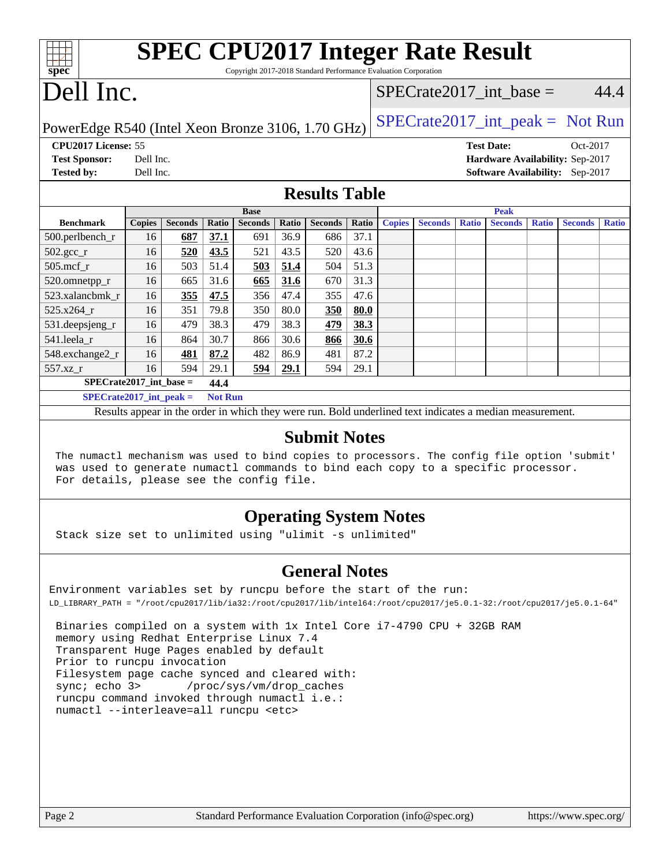| <b>SPEC CPU2017 Integer Rate Result</b><br>$Spec^*$<br>Copyright 2017-2018 Standard Performance Evaluation Corporation |               |                |       |                |       |                |             |               |                |                           |                               |              |                                 |              |
|------------------------------------------------------------------------------------------------------------------------|---------------|----------------|-------|----------------|-------|----------------|-------------|---------------|----------------|---------------------------|-------------------------------|--------------|---------------------------------|--------------|
| Dell Inc.                                                                                                              |               |                |       |                |       |                |             |               |                | SPECrate2017 int base $=$ |                               |              | 44.4                            |              |
| $SPECrate2017\_int\_peak = Not Run$<br>PowerEdge R540 (Intel Xeon Bronze 3106, 1.70 GHz)                               |               |                |       |                |       |                |             |               |                |                           |                               |              |                                 |              |
| CPU2017 License: 55                                                                                                    |               |                |       |                |       |                |             |               |                |                           | <b>Test Date:</b>             |              | Oct-2017                        |              |
| <b>Test Sponsor:</b>                                                                                                   | Dell Inc.     |                |       |                |       |                |             |               |                |                           |                               |              | Hardware Availability: Sep-2017 |              |
| <b>Tested by:</b>                                                                                                      | Dell Inc.     |                |       |                |       |                |             |               |                |                           | <b>Software Availability:</b> |              | $Sep-2017$                      |              |
| <b>Results Table</b>                                                                                                   |               |                |       |                |       |                |             |               |                |                           |                               |              |                                 |              |
|                                                                                                                        |               | <b>Base</b>    |       |                |       |                | <b>Peak</b> |               |                |                           |                               |              |                                 |              |
| <b>Benchmark</b>                                                                                                       |               |                |       |                |       |                |             |               |                |                           |                               |              |                                 |              |
|                                                                                                                        | <b>Copies</b> | <b>Seconds</b> | Ratio | <b>Seconds</b> | Ratio | <b>Seconds</b> | Ratio       | <b>Copies</b> | <b>Seconds</b> | <b>Ratio</b>              | <b>Seconds</b>                | <b>Ratio</b> | <b>Seconds</b>                  | <b>Ratio</b> |
| 500.perlbench_r                                                                                                        | 16            | 687            | 37.1  | 691            | 36.9  | 686            | 37.1        |               |                |                           |                               |              |                                 |              |
| $502.\text{sec}$                                                                                                       | 16            | 520            | 43.5  | 521            | 43.5  | 520            | 43.6        |               |                |                           |                               |              |                                 |              |
| $505$ .mcf r                                                                                                           | 16            | 503            | 51.4  | 503            | 51.4  | 504            | 51.3        |               |                |                           |                               |              |                                 |              |
| 520.omnetpp_r                                                                                                          | 16            | 665            | 31.6  | 665            | 31.6  | 670            | 31.3        |               |                |                           |                               |              |                                 |              |
| 523.xalancbmk r                                                                                                        | 16            | 355            | 47.5  | 356            | 47.4  | 355            | 47.6        |               |                |                           |                               |              |                                 |              |
| $525.x264_r$                                                                                                           | 16            | 351            | 79.8  | 350            | 80.0  | 350            | 80.0        |               |                |                           |                               |              |                                 |              |
| 531.deepsjeng_r                                                                                                        | 16            | 479            | 38.3  | 479            | 38.3  | 479            | 38.3        |               |                |                           |                               |              |                                 |              |

## **[Operating System Notes](http://www.spec.org/auto/cpu2017/Docs/result-fields.html#OperatingSystemNotes)**

Results appear in the [order in which they were run](http://www.spec.org/auto/cpu2017/Docs/result-fields.html#RunOrder). Bold underlined text [indicates a median measurement](http://www.spec.org/auto/cpu2017/Docs/result-fields.html#Median).

**[Submit Notes](http://www.spec.org/auto/cpu2017/Docs/result-fields.html#SubmitNotes)** The numactl mechanism was used to bind copies to processors. The config file option 'submit'

was used to generate numactl commands to bind each copy to a specific processor.

Stack size set to unlimited using "ulimit -s unlimited"

[548.exchange2\\_r](http://www.spec.org/auto/cpu2017/Docs/benchmarks/548.exchange2_r.html) 16 **[481](http://www.spec.org/auto/cpu2017/Docs/result-fields.html#Median) [87.2](http://www.spec.org/auto/cpu2017/Docs/result-fields.html#Median)** 482 86.9 481 87.2 [557.xz\\_r](http://www.spec.org/auto/cpu2017/Docs/benchmarks/557.xz_r.html) 16 594 29.1 **[594](http://www.spec.org/auto/cpu2017/Docs/result-fields.html#Median) [29.1](http://www.spec.org/auto/cpu2017/Docs/result-fields.html#Median)** 594 29.1

For details, please see the config file.

**[SPECrate2017\\_int\\_base =](http://www.spec.org/auto/cpu2017/Docs/result-fields.html#SPECrate2017intbase) 44.4 [SPECrate2017\\_int\\_peak =](http://www.spec.org/auto/cpu2017/Docs/result-fields.html#SPECrate2017intpeak) Not Run**

### **[General Notes](http://www.spec.org/auto/cpu2017/Docs/result-fields.html#GeneralNotes)**

Environment variables set by runcpu before the start of the run: LD\_LIBRARY\_PATH = "/root/cpu2017/lib/ia32:/root/cpu2017/lib/intel64:/root/cpu2017/je5.0.1-32:/root/cpu2017/je5.0.1-64"

 Binaries compiled on a system with 1x Intel Core i7-4790 CPU + 32GB RAM memory using Redhat Enterprise Linux 7.4 Transparent Huge Pages enabled by default Prior to runcpu invocation Filesystem page cache synced and cleared with: sync; echo 3> /proc/sys/vm/drop\_caches runcpu command invoked through numactl i.e.: numactl --interleave=all runcpu <etc>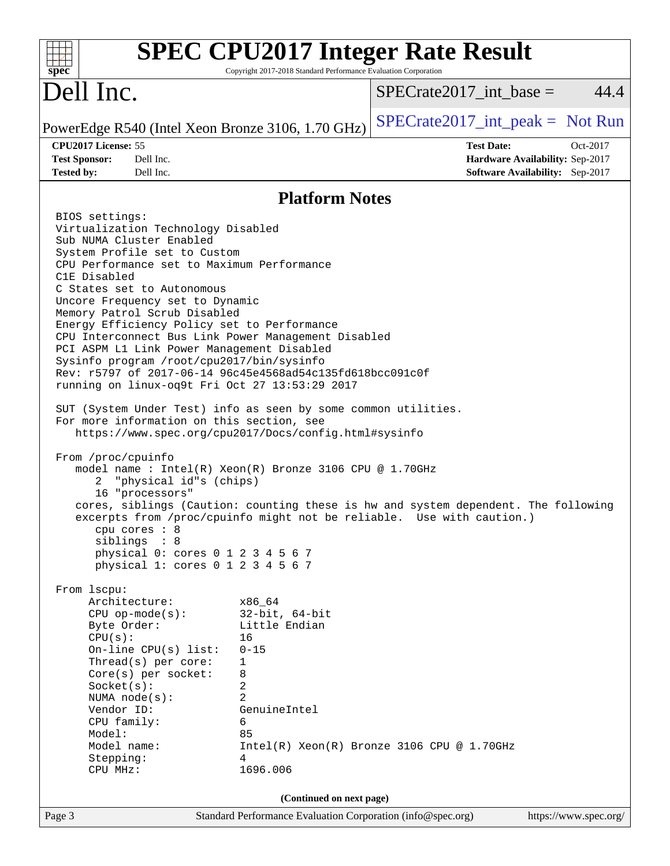| <b>SPEC CPU2017 Integer Rate Result</b><br>$spec^*$                                                                                                                                                                                                                                                                                                                                                                                                                                                                                                                                                                                                                                                                                                                                                                                                                                                                                                                                                                                                                                                                                                                                                                                                                                                                                                                                                                                                                                                                                                                                                                 | Copyright 2017-2018 Standard Performance Evaluation Corporation          |                                                                                         |                       |
|---------------------------------------------------------------------------------------------------------------------------------------------------------------------------------------------------------------------------------------------------------------------------------------------------------------------------------------------------------------------------------------------------------------------------------------------------------------------------------------------------------------------------------------------------------------------------------------------------------------------------------------------------------------------------------------------------------------------------------------------------------------------------------------------------------------------------------------------------------------------------------------------------------------------------------------------------------------------------------------------------------------------------------------------------------------------------------------------------------------------------------------------------------------------------------------------------------------------------------------------------------------------------------------------------------------------------------------------------------------------------------------------------------------------------------------------------------------------------------------------------------------------------------------------------------------------------------------------------------------------|--------------------------------------------------------------------------|-----------------------------------------------------------------------------------------|-----------------------|
| Dell Inc.                                                                                                                                                                                                                                                                                                                                                                                                                                                                                                                                                                                                                                                                                                                                                                                                                                                                                                                                                                                                                                                                                                                                                                                                                                                                                                                                                                                                                                                                                                                                                                                                           |                                                                          | $SPECrate2017\_int\_base =$                                                             | 44.4                  |
| PowerEdge R540 (Intel Xeon Bronze 3106, 1.70 GHz)                                                                                                                                                                                                                                                                                                                                                                                                                                                                                                                                                                                                                                                                                                                                                                                                                                                                                                                                                                                                                                                                                                                                                                                                                                                                                                                                                                                                                                                                                                                                                                   |                                                                          | $SPECrate2017\_int\_peak = Not Run$                                                     |                       |
| CPU2017 License: 55<br><b>Test Sponsor:</b><br>Dell Inc.<br><b>Tested by:</b><br>Dell Inc.                                                                                                                                                                                                                                                                                                                                                                                                                                                                                                                                                                                                                                                                                                                                                                                                                                                                                                                                                                                                                                                                                                                                                                                                                                                                                                                                                                                                                                                                                                                          |                                                                          | <b>Test Date:</b><br>Hardware Availability: Sep-2017<br>Software Availability: Sep-2017 | Oct-2017              |
|                                                                                                                                                                                                                                                                                                                                                                                                                                                                                                                                                                                                                                                                                                                                                                                                                                                                                                                                                                                                                                                                                                                                                                                                                                                                                                                                                                                                                                                                                                                                                                                                                     | <b>Platform Notes</b>                                                    |                                                                                         |                       |
| BIOS settings:<br>Virtualization Technology Disabled<br>Sub NUMA Cluster Enabled<br>System Profile set to Custom<br>CPU Performance set to Maximum Performance<br>C1E Disabled<br>C States set to Autonomous<br>Uncore Frequency set to Dynamic<br>Memory Patrol Scrub Disabled<br>Energy Efficiency Policy set to Performance<br>CPU Interconnect Bus Link Power Management Disabled<br>PCI ASPM L1 Link Power Management Disabled<br>Sysinfo program /root/cpu2017/bin/sysinfo<br>Rev: r5797 of 2017-06-14 96c45e4568ad54c135fd618bcc091c0f<br>running on linux-oq9t Fri Oct 27 13:53:29 2017<br>SUT (System Under Test) info as seen by some common utilities.<br>For more information on this section, see<br>https://www.spec.org/cpu2017/Docs/config.html#sysinfo<br>From /proc/cpuinfo<br>model name : Intel(R) Xeon(R) Bronze 3106 CPU @ 1.70GHz<br>"physical id"s (chips)<br>2<br>16 "processors"<br>cores, siblings (Caution: counting these is hw and system dependent. The following<br>excerpts from /proc/cpuinfo might not be reliable. Use with caution.)<br>$cpu$ cores : $8$<br>siblings : 8<br>physical 0: cores 0 1 2 3 4 5 6 7<br>physical 1: cores 0 1 2 3 4 5 6 7<br>From 1scpu:<br>Architecture:<br>x86_64<br>$CPU$ op-mode(s):<br>$32$ -bit, $64$ -bit<br>Little Endian<br>Byte Order:<br>CPU(s):<br>16<br>On-line $CPU(s)$ list:<br>$0 - 15$<br>Thread( $s$ ) per core:<br>1<br>8<br>Core(s) per socket:<br>2<br>Socket(s):<br>$\overline{2}$<br>NUMA node(s):<br>Vendor ID:<br>GenuineIntel<br>CPU family:<br>6<br>85<br>Model:<br>Model name:<br>Stepping:<br>4<br>1696.006<br>CPU MHz: | $Intel(R) Xeon(R) Bronze 3106 CPU @ 1.70GHz$<br>(Continued on next page) |                                                                                         |                       |
| Page 3                                                                                                                                                                                                                                                                                                                                                                                                                                                                                                                                                                                                                                                                                                                                                                                                                                                                                                                                                                                                                                                                                                                                                                                                                                                                                                                                                                                                                                                                                                                                                                                                              | Standard Performance Evaluation Corporation (info@spec.org)              |                                                                                         | https://www.spec.org/ |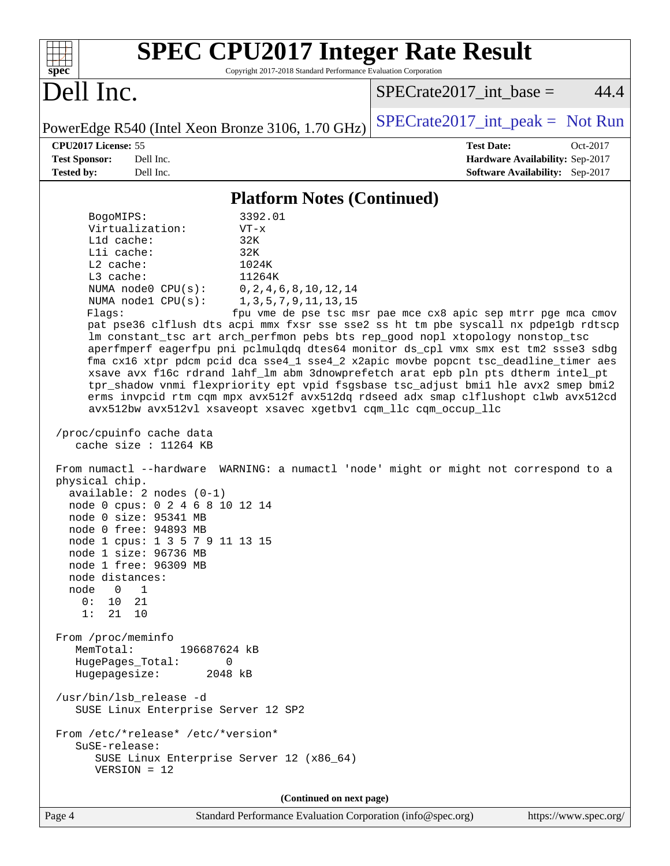| <b>SPEC CPU2017 Integer Rate Result</b><br>Copyright 2017-2018 Standard Performance Evaluation Corporation<br>spec <sup>®</sup>                                                                                                                                                                                                                                                                                                                                                                                                                                                                                                                                                                                                                                                                                                                                                                                                                                                                                                                                                                                                                                                                                                                                                                                                                                                                                                                                                                                                                                                                                                                                                                          |                                                                                                     |
|----------------------------------------------------------------------------------------------------------------------------------------------------------------------------------------------------------------------------------------------------------------------------------------------------------------------------------------------------------------------------------------------------------------------------------------------------------------------------------------------------------------------------------------------------------------------------------------------------------------------------------------------------------------------------------------------------------------------------------------------------------------------------------------------------------------------------------------------------------------------------------------------------------------------------------------------------------------------------------------------------------------------------------------------------------------------------------------------------------------------------------------------------------------------------------------------------------------------------------------------------------------------------------------------------------------------------------------------------------------------------------------------------------------------------------------------------------------------------------------------------------------------------------------------------------------------------------------------------------------------------------------------------------------------------------------------------------|-----------------------------------------------------------------------------------------------------|
| Dell Inc.                                                                                                                                                                                                                                                                                                                                                                                                                                                                                                                                                                                                                                                                                                                                                                                                                                                                                                                                                                                                                                                                                                                                                                                                                                                                                                                                                                                                                                                                                                                                                                                                                                                                                                | 44.4<br>$SPECrate2017\_int\_base =$                                                                 |
| PowerEdge R540 (Intel Xeon Bronze 3106, 1.70 GHz)                                                                                                                                                                                                                                                                                                                                                                                                                                                                                                                                                                                                                                                                                                                                                                                                                                                                                                                                                                                                                                                                                                                                                                                                                                                                                                                                                                                                                                                                                                                                                                                                                                                        | $SPECrate2017\_int\_peak = Not Run$                                                                 |
| CPU2017 License: 55<br><b>Test Sponsor:</b><br>Dell Inc.<br>Dell Inc.<br><b>Tested by:</b>                                                                                                                                                                                                                                                                                                                                                                                                                                                                                                                                                                                                                                                                                                                                                                                                                                                                                                                                                                                                                                                                                                                                                                                                                                                                                                                                                                                                                                                                                                                                                                                                               | <b>Test Date:</b><br>Oct-2017<br>Hardware Availability: Sep-2017<br>Software Availability: Sep-2017 |
|                                                                                                                                                                                                                                                                                                                                                                                                                                                                                                                                                                                                                                                                                                                                                                                                                                                                                                                                                                                                                                                                                                                                                                                                                                                                                                                                                                                                                                                                                                                                                                                                                                                                                                          |                                                                                                     |
| <b>Platform Notes (Continued)</b><br>3392.01<br>BogoMIPS:<br>Virtualization:<br>$VT - x$<br>Lld cache:<br>32K<br>Lli cache:<br>32K<br>$L2$ cache:<br>1024K<br>11264K<br>$L3$ cache:<br>NUMA node0 CPU(s):<br>0, 2, 4, 6, 8, 10, 12, 14<br>NUMA nodel CPU(s):<br>1, 3, 5, 7, 9, 11, 13, 15<br>Flags:<br>pat pse36 clflush dts acpi mmx fxsr sse sse2 ss ht tm pbe syscall nx pdpelgb rdtscp<br>lm constant_tsc art arch_perfmon pebs bts rep_good nopl xtopology nonstop_tsc<br>aperfmperf eagerfpu pni pclmulqdq dtes64 monitor ds_cpl vmx smx est tm2 ssse3 sdbg<br>fma cx16 xtpr pdcm pcid dca sse4_1 sse4_2 x2apic movbe popcnt tsc_deadline_timer aes<br>xsave avx f16c rdrand lahf_lm abm 3dnowprefetch arat epb pln pts dtherm intel_pt<br>tpr_shadow vnmi flexpriority ept vpid fsgsbase tsc_adjust bmil hle avx2 smep bmi2<br>erms invpcid rtm cqm mpx avx512f avx512dq rdseed adx smap clflushopt clwb avx512cd<br>avx512bw avx512vl xsaveopt xsavec xgetbvl cqm_llc cqm_occup_llc<br>/proc/cpuinfo cache data<br>cache size : $11264$ KB<br>From numactl --hardware WARNING: a numactl 'node' might or might not correspond to a<br>physical chip.<br>available: $2$ nodes $(0-1)$<br>node 0 cpus: 0 2 4 6 8 10 12 14<br>node 0 size: 95341 MB<br>$node$ 0 $tree: 94893$ MB<br>node 1 cpus: 1 3 5 7 9 11 13 15<br>node 1 size: 96736 MB<br>node 1 free: 96309 MB<br>node distances:<br>node<br>$\overline{0}$<br>$\overline{1}$<br>0: 10.21<br>1:<br>21 10<br>From /proc/meminfo<br>MemTotal:<br>196687624 kB<br>HugePages_Total:<br>0<br>Hugepagesize:<br>2048 kB<br>/usr/bin/lsb_release -d<br>SUSE Linux Enterprise Server 12 SP2<br>From /etc/*release* /etc/*version*<br>$S$ uSE-release: | fpu vme de pse tsc msr pae mce cx8 apic sep mtrr pge mca cmov                                       |
| SUSE Linux Enterprise Server 12 (x86_64)<br>$VERSION = 12$                                                                                                                                                                                                                                                                                                                                                                                                                                                                                                                                                                                                                                                                                                                                                                                                                                                                                                                                                                                                                                                                                                                                                                                                                                                                                                                                                                                                                                                                                                                                                                                                                                               |                                                                                                     |
| (Continued on next page)                                                                                                                                                                                                                                                                                                                                                                                                                                                                                                                                                                                                                                                                                                                                                                                                                                                                                                                                                                                                                                                                                                                                                                                                                                                                                                                                                                                                                                                                                                                                                                                                                                                                                 |                                                                                                     |

Page 4 Standard Performance Evaluation Corporation [\(info@spec.org\)](mailto:info@spec.org) <https://www.spec.org/>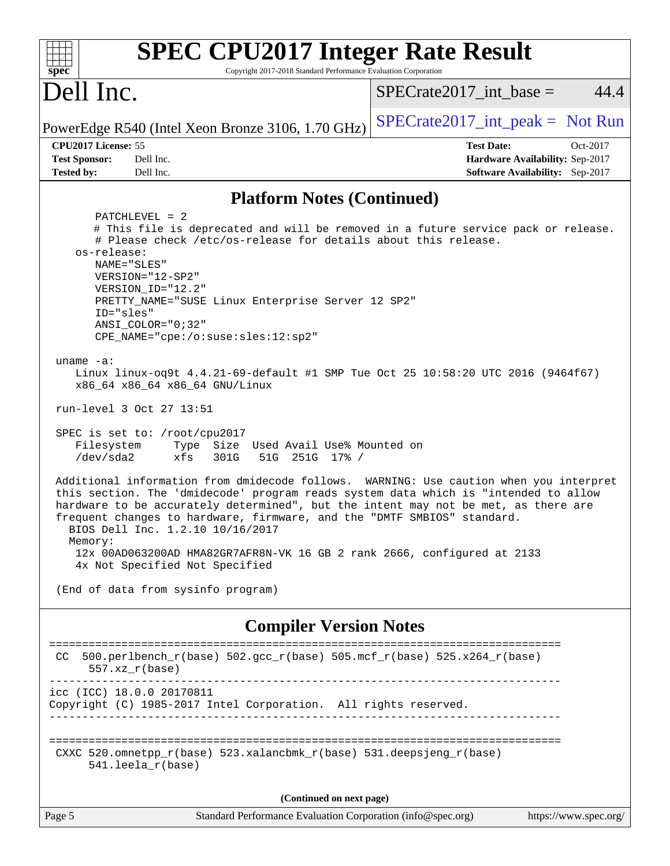| spec <sup>®</sup><br>Dell Inc.                                                                                                                                                                                                                                                                                                                                                                                                                                                                                                                                                                                                                                                                                                                                                                                                                                                                                                                                                                                                                                                                                                                                                                                                                         |                                                                                                     |
|--------------------------------------------------------------------------------------------------------------------------------------------------------------------------------------------------------------------------------------------------------------------------------------------------------------------------------------------------------------------------------------------------------------------------------------------------------------------------------------------------------------------------------------------------------------------------------------------------------------------------------------------------------------------------------------------------------------------------------------------------------------------------------------------------------------------------------------------------------------------------------------------------------------------------------------------------------------------------------------------------------------------------------------------------------------------------------------------------------------------------------------------------------------------------------------------------------------------------------------------------------|-----------------------------------------------------------------------------------------------------|
|                                                                                                                                                                                                                                                                                                                                                                                                                                                                                                                                                                                                                                                                                                                                                                                                                                                                                                                                                                                                                                                                                                                                                                                                                                                        | 44.4<br>$SPECrate2017\_int\_base =$                                                                 |
| PowerEdge R540 (Intel Xeon Bronze 3106, 1.70 GHz)                                                                                                                                                                                                                                                                                                                                                                                                                                                                                                                                                                                                                                                                                                                                                                                                                                                                                                                                                                                                                                                                                                                                                                                                      | $SPECrate2017\_int\_peak = Not Run$                                                                 |
| CPU2017 License: 55<br><b>Test Sponsor:</b><br>Dell Inc.<br>Dell Inc.<br><b>Tested by:</b>                                                                                                                                                                                                                                                                                                                                                                                                                                                                                                                                                                                                                                                                                                                                                                                                                                                                                                                                                                                                                                                                                                                                                             | <b>Test Date:</b><br>Oct-2017<br>Hardware Availability: Sep-2017<br>Software Availability: Sep-2017 |
| <b>Platform Notes (Continued)</b>                                                                                                                                                                                                                                                                                                                                                                                                                                                                                                                                                                                                                                                                                                                                                                                                                                                                                                                                                                                                                                                                                                                                                                                                                      |                                                                                                     |
| $PATCHLEVEL = 2$<br># This file is deprecated and will be removed in a future service pack or release.<br># Please check /etc/os-release for details about this release.<br>os-release:<br>NAME="SLES"<br>VERSION="12-SP2"<br>VERSION ID="12.2"<br>PRETTY_NAME="SUSE Linux Enterprise Server 12 SP2"<br>ID="sles"<br>$ANSI\_COLOR = "0; 32"$<br>CPE_NAME="cpe:/o:suse:sles:12:sp2"<br>uname $-a$ :<br>Linux linux-oq9t 4.4.21-69-default #1 SMP Tue Oct 25 10:58:20 UTC 2016 (9464f67)<br>x86_64 x86_64 x86_64 GNU/Linux<br>run-level 3 Oct 27 13:51<br>SPEC is set to: /root/cpu2017<br>Filesystem<br>Type Size Used Avail Use% Mounted on<br>$/\text{dev/sda2}$<br>301G<br>51G 251G 17% /<br>xfs<br>Additional information from dmidecode follows. WARNING: Use caution when you interpret<br>this section. The 'dmidecode' program reads system data which is "intended to allow<br>hardware to be accurately determined", but the intent may not be met, as there are<br>frequent changes to hardware, firmware, and the "DMTF SMBIOS" standard.<br>BIOS Dell Inc. 1.2.10 10/16/2017<br>Memory:<br>12x 00AD063200AD HMA82GR7AFR8N-VK 16 GB 2 rank 2666, configured at 2133<br>4x Not Specified Not Specified<br>(End of data from sysinfo program) |                                                                                                     |
| <b>Compiler Version Notes</b>                                                                                                                                                                                                                                                                                                                                                                                                                                                                                                                                                                                                                                                                                                                                                                                                                                                                                                                                                                                                                                                                                                                                                                                                                          |                                                                                                     |
| 500.perlbench_r(base) 502.gcc_r(base) 505.mcf_r(base) 525.x264_r(base)<br>CC.<br>$557. xz_r(base)$                                                                                                                                                                                                                                                                                                                                                                                                                                                                                                                                                                                                                                                                                                                                                                                                                                                                                                                                                                                                                                                                                                                                                     |                                                                                                     |
| icc (ICC) 18.0.0 20170811<br>Copyright (C) 1985-2017 Intel Corporation. All rights reserved.                                                                                                                                                                                                                                                                                                                                                                                                                                                                                                                                                                                                                                                                                                                                                                                                                                                                                                                                                                                                                                                                                                                                                           |                                                                                                     |
| CXXC 520.omnetpp_r(base) 523.xalancbmk_r(base) 531.deepsjeng_r(base)<br>541.leela_r(base)                                                                                                                                                                                                                                                                                                                                                                                                                                                                                                                                                                                                                                                                                                                                                                                                                                                                                                                                                                                                                                                                                                                                                              |                                                                                                     |
| (Continued on next page)                                                                                                                                                                                                                                                                                                                                                                                                                                                                                                                                                                                                                                                                                                                                                                                                                                                                                                                                                                                                                                                                                                                                                                                                                               |                                                                                                     |
| Standard Performance Evaluation Corporation (info@spec.org)<br>Page 5                                                                                                                                                                                                                                                                                                                                                                                                                                                                                                                                                                                                                                                                                                                                                                                                                                                                                                                                                                                                                                                                                                                                                                                  | https://www.spec.org/                                                                               |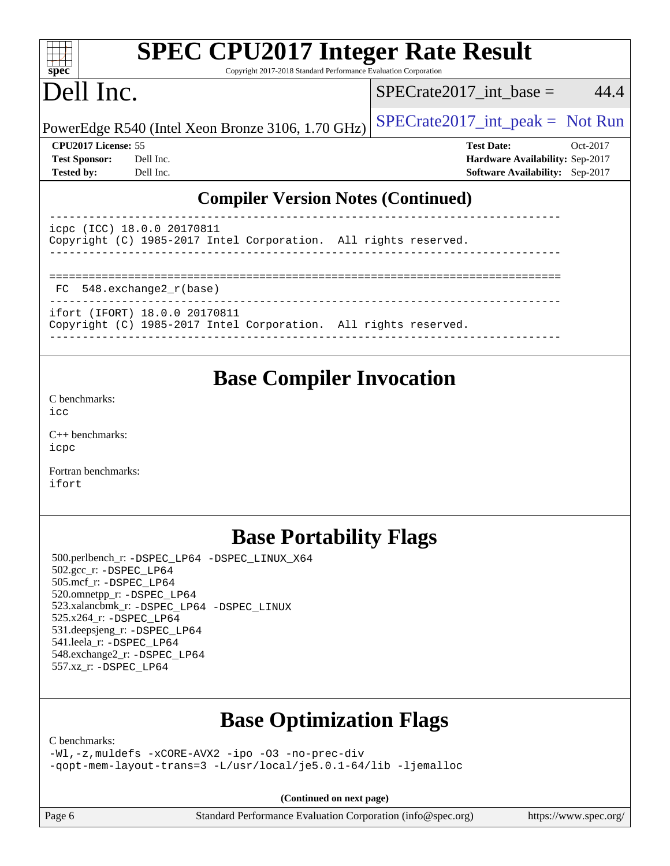| <b>SPEC CPU2017 Integer Rate Result</b><br>Spec<br>Copyright 2017-2018 Standard Performance Evaluation Corporation |                                                   |  |                                        |          |  |  |  |
|--------------------------------------------------------------------------------------------------------------------|---------------------------------------------------|--|----------------------------------------|----------|--|--|--|
| Dell Inc.                                                                                                          |                                                   |  | $SPECrate2017$ _int_base =             | 44.4     |  |  |  |
|                                                                                                                    | PowerEdge R540 (Intel Xeon Bronze 3106, 1.70 GHz) |  | $SPECrate2017\_int\_peak = Not Run$    |          |  |  |  |
| <b>CPU2017 License: 55</b>                                                                                         |                                                   |  | <b>Test Date:</b>                      | Oct-2017 |  |  |  |
| <b>Test Sponsor:</b>                                                                                               | Dell Inc.                                         |  | <b>Hardware Availability: Sep-2017</b> |          |  |  |  |
| <b>Tested by:</b>                                                                                                  | Dell Inc.                                         |  | <b>Software Availability:</b> Sep-2017 |          |  |  |  |
| <b>Compiler Version Notes (Continued)</b><br>18.0.0 20170811<br>ICC)<br>icpc                                       |                                                   |  |                                        |          |  |  |  |

Copyright (C) 1985-2017 Intel Corporation. All rights reserved. ------------------------------------------------------------------------------

Copyright (C) 1985-2017 Intel Corporation. All rights reserved.

==============================================================================

------------------------------------------------------------------------------

------------------------------------------------------------------------------

**[Base Compiler Invocation](http://www.spec.org/auto/cpu2017/Docs/result-fields.html#BaseCompilerInvocation)**

[C++ benchmarks:](http://www.spec.org/auto/cpu2017/Docs/result-fields.html#CXXbenchmarks) [icpc](http://www.spec.org/cpu2017/results/res2017q4/cpu2017-20171127-00928.flags.html#user_CXXbase_intel_icpc_18.0_c510b6838c7f56d33e37e94d029a35b4a7bccf4766a728ee175e80a419847e808290a9b78be685c44ab727ea267ec2f070ec5dc83b407c0218cded6866a35d07)

[C benchmarks](http://www.spec.org/auto/cpu2017/Docs/result-fields.html#Cbenchmarks):

 $i$ cc

FC 548.exchange2\_r(base)

ifort (IFORT) 18.0.0 20170811

[Fortran benchmarks](http://www.spec.org/auto/cpu2017/Docs/result-fields.html#Fortranbenchmarks): [ifort](http://www.spec.org/cpu2017/results/res2017q4/cpu2017-20171127-00928.flags.html#user_FCbase_intel_ifort_18.0_8111460550e3ca792625aed983ce982f94888b8b503583aa7ba2b8303487b4d8a21a13e7191a45c5fd58ff318f48f9492884d4413fa793fd88dd292cad7027ca)

## **[Base Portability Flags](http://www.spec.org/auto/cpu2017/Docs/result-fields.html#BasePortabilityFlags)**

 500.perlbench\_r: [-DSPEC\\_LP64](http://www.spec.org/cpu2017/results/res2017q4/cpu2017-20171127-00928.flags.html#b500.perlbench_r_basePORTABILITY_DSPEC_LP64) [-DSPEC\\_LINUX\\_X64](http://www.spec.org/cpu2017/results/res2017q4/cpu2017-20171127-00928.flags.html#b500.perlbench_r_baseCPORTABILITY_DSPEC_LINUX_X64) 502.gcc\_r: [-DSPEC\\_LP64](http://www.spec.org/cpu2017/results/res2017q4/cpu2017-20171127-00928.flags.html#suite_basePORTABILITY502_gcc_r_DSPEC_LP64) 505.mcf\_r: [-DSPEC\\_LP64](http://www.spec.org/cpu2017/results/res2017q4/cpu2017-20171127-00928.flags.html#suite_basePORTABILITY505_mcf_r_DSPEC_LP64) 520.omnetpp\_r: [-DSPEC\\_LP64](http://www.spec.org/cpu2017/results/res2017q4/cpu2017-20171127-00928.flags.html#suite_basePORTABILITY520_omnetpp_r_DSPEC_LP64) 523.xalancbmk\_r: [-DSPEC\\_LP64](http://www.spec.org/cpu2017/results/res2017q4/cpu2017-20171127-00928.flags.html#suite_basePORTABILITY523_xalancbmk_r_DSPEC_LP64) [-DSPEC\\_LINUX](http://www.spec.org/cpu2017/results/res2017q4/cpu2017-20171127-00928.flags.html#b523.xalancbmk_r_baseCXXPORTABILITY_DSPEC_LINUX) 525.x264\_r: [-DSPEC\\_LP64](http://www.spec.org/cpu2017/results/res2017q4/cpu2017-20171127-00928.flags.html#suite_basePORTABILITY525_x264_r_DSPEC_LP64) 531.deepsjeng\_r: [-DSPEC\\_LP64](http://www.spec.org/cpu2017/results/res2017q4/cpu2017-20171127-00928.flags.html#suite_basePORTABILITY531_deepsjeng_r_DSPEC_LP64) 541.leela\_r: [-DSPEC\\_LP64](http://www.spec.org/cpu2017/results/res2017q4/cpu2017-20171127-00928.flags.html#suite_basePORTABILITY541_leela_r_DSPEC_LP64) 548.exchange2\_r: [-DSPEC\\_LP64](http://www.spec.org/cpu2017/results/res2017q4/cpu2017-20171127-00928.flags.html#suite_basePORTABILITY548_exchange2_r_DSPEC_LP64) 557.xz\_r: [-DSPEC\\_LP64](http://www.spec.org/cpu2017/results/res2017q4/cpu2017-20171127-00928.flags.html#suite_basePORTABILITY557_xz_r_DSPEC_LP64)

# **[Base Optimization Flags](http://www.spec.org/auto/cpu2017/Docs/result-fields.html#BaseOptimizationFlags)**

[C benchmarks](http://www.spec.org/auto/cpu2017/Docs/result-fields.html#Cbenchmarks):

[-Wl,-z,muldefs](http://www.spec.org/cpu2017/results/res2017q4/cpu2017-20171127-00928.flags.html#user_CCbase_link_force_multiple1_b4cbdb97b34bdee9ceefcfe54f4c8ea74255f0b02a4b23e853cdb0e18eb4525ac79b5a88067c842dd0ee6996c24547a27a4b99331201badda8798ef8a743f577) [-xCORE-AVX2](http://www.spec.org/cpu2017/results/res2017q4/cpu2017-20171127-00928.flags.html#user_CCbase_f-xCORE-AVX2) [-ipo](http://www.spec.org/cpu2017/results/res2017q4/cpu2017-20171127-00928.flags.html#user_CCbase_f-ipo) [-O3](http://www.spec.org/cpu2017/results/res2017q4/cpu2017-20171127-00928.flags.html#user_CCbase_f-O3) [-no-prec-div](http://www.spec.org/cpu2017/results/res2017q4/cpu2017-20171127-00928.flags.html#user_CCbase_f-no-prec-div) [-qopt-mem-layout-trans=3](http://www.spec.org/cpu2017/results/res2017q4/cpu2017-20171127-00928.flags.html#user_CCbase_f-qopt-mem-layout-trans_de80db37974c74b1f0e20d883f0b675c88c3b01e9d123adea9b28688d64333345fb62bc4a798493513fdb68f60282f9a726aa07f478b2f7113531aecce732043) [-L/usr/local/je5.0.1-64/lib](http://www.spec.org/cpu2017/results/res2017q4/cpu2017-20171127-00928.flags.html#user_CCbase_jemalloc_link_path64_4b10a636b7bce113509b17f3bd0d6226c5fb2346b9178c2d0232c14f04ab830f976640479e5c33dc2bcbbdad86ecfb6634cbbd4418746f06f368b512fced5394) [-ljemalloc](http://www.spec.org/cpu2017/results/res2017q4/cpu2017-20171127-00928.flags.html#user_CCbase_jemalloc_link_lib_d1249b907c500fa1c0672f44f562e3d0f79738ae9e3c4a9c376d49f265a04b9c99b167ecedbf6711b3085be911c67ff61f150a17b3472be731631ba4d0471706)

**(Continued on next page)**

Page 6 Standard Performance Evaluation Corporation [\(info@spec.org\)](mailto:info@spec.org) <https://www.spec.org/>